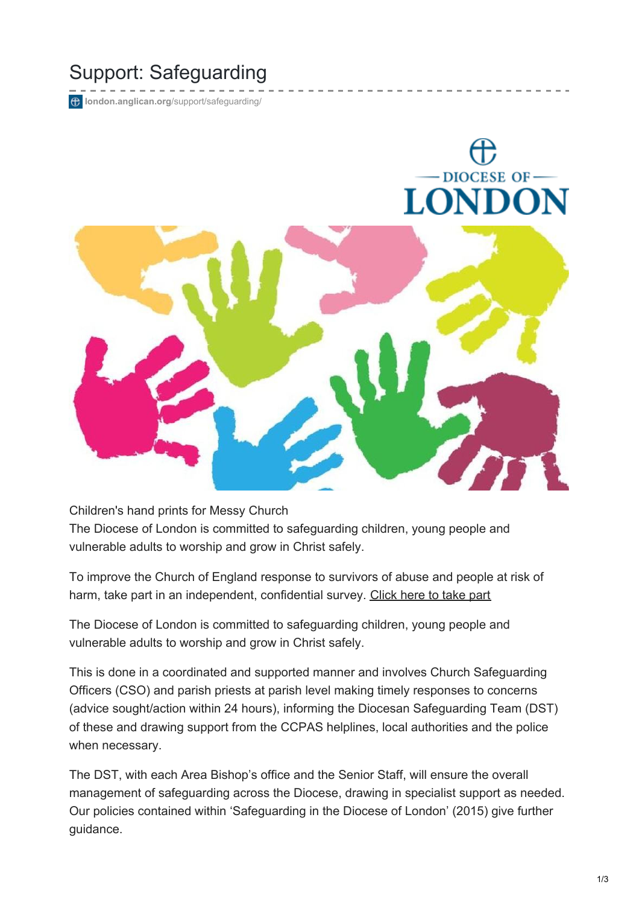# Support: Safeguarding

**london.anglican.org**[/support/safeguarding/](https://www.london.anglican.org/support/safeguarding/)





Children's hand prints for Messy Church The Diocese of London is committed to safeguarding children, young people and vulnerable adults to worship and grow in Christ safely.

To improve the Church of England response to survivors of abuse and people at risk of harm, take part in an independent, confidential survey. [Click](https://www.scie.org.uk/opportunities/callsforevidence/cofe-survivors.asp) here to take part

The Diocese of London is committed to safeguarding children, young people and vulnerable adults to worship and grow in Christ safely.

This is done in a coordinated and supported manner and involves Church Safeguarding Officers (CSO) and parish priests at parish level making timely responses to concerns (advice sought/action within 24 hours), informing the Diocesan Safeguarding Team (DST) of these and drawing support from the CCPAS helplines, local authorities and the police when necessary.

The DST, with each Area Bishop's office and the Senior Staff, will ensure the overall management of safeguarding across the Diocese, drawing in specialist support as needed. Our policies contained within 'Safeguarding in the Diocese of London' (2015) give further guidance.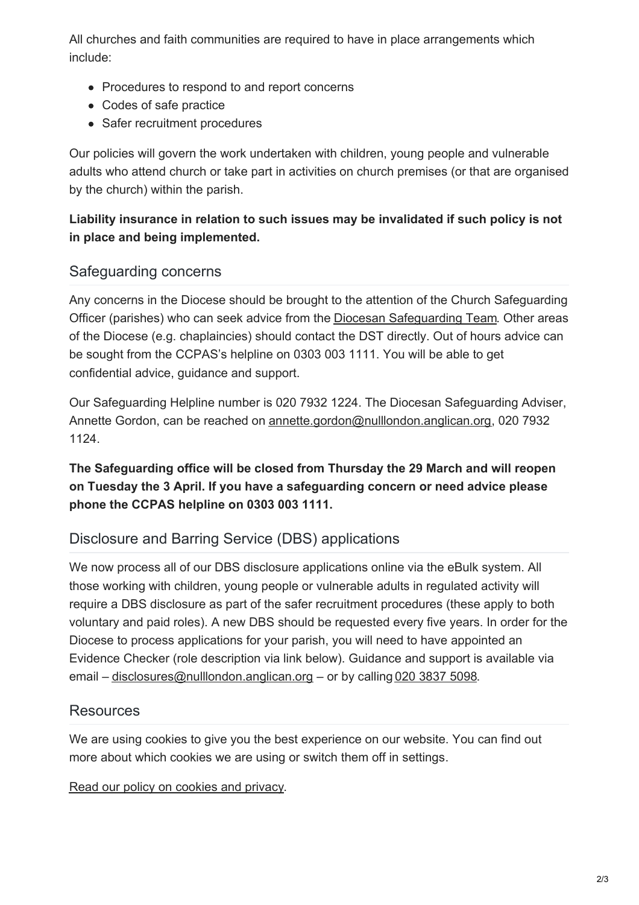All churches and faith communities are required to have in place arrangements which include:

- Procedures to respond to and report concerns
- Codes of safe practice
- Safer recruitment procedures

Our policies will govern the work undertaken with children, young people and vulnerable adults who attend church or take part in activities on church premises (or that are organised by the church) within the parish.

## **Liability insurance in relation to such issues may be invalidated if such policy is not in place and being implemented.**

# Safeguarding concerns

Any concerns in the Diocese should be brought to the attention of the Church Safeguarding Officer (parishes) who can seek advice from the Diocesan [Safeguarding](https://www.london.anglican.org/directory/safeguarding-team/) Team. Other areas of the Diocese (e.g. chaplaincies) should contact the DST directly. Out of hours advice can be sought from the CCPAS's helpline on 0303 003 1111. You will be able to get confidential advice, guidance and support.

Our Safeguarding Helpline number is 020 7932 1224. The Diocesan Safeguarding Adviser, Annette Gordon, can be reached on [annette.gordon@nulllondon.anglican.org](mailto:annette.gordon@london.anglican.org), 020 7932 1124.

**The Safeguarding office will be closed from Thursday the 29 March and will reopen on Tuesday the 3 April. If you have a safeguarding concern or need advice please phone the CCPAS helpline on 0303 003 1111.**

# Disclosure and Barring Service (DBS) applications

We now process all of our DBS disclosure applications online via the eBulk system. All those working with children, young people or vulnerable adults in regulated activity will require a DBS disclosure as part of the safer recruitment procedures (these apply to both voluntary and paid roles). A new DBS should be requested every five years. In order for the Diocese to process applications for your parish, you will need to have appointed an Evidence Checker (role description via link below). Guidance and support is available via email – [disclosures@nulllondon.anglican.org](mailto:disclosures@london.anglican.org) – or by calling 020 [3837](tel:020 3837 5098) 5098.

#### **Resources**

We are using cookies to give you the best experience on our website. You can find out more about which cookies we are using or switch them off in settings.

Read our policy on [cookies](https://www.london.anglican.org/privacy-and-cookies-policy/) and privacy.